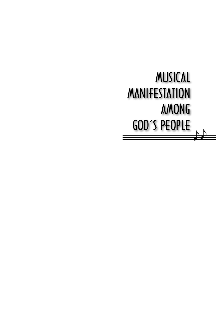## MUSICAL MANIFESTATION AMONG GOD'S PEOPLE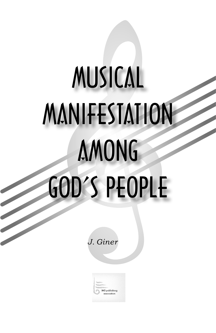# MUSICAL MANIFESTATION AMONG GOD'S PEOPLE

*J. Giner*

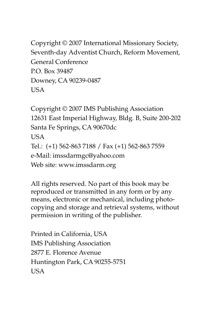Copyright © 2007 International Missionary Society, Seventh-day Adventist Church, Reform Movement, General Conference P.O. Box 39487 Downey, CA 90239-0487 USA

Copyright © 2007 IMS Publishing Association 12631 East Imperial Highway, Bldg. B, Suite 200-202 Santa Fe Springs, CA 90670dc USA Tel.: (+1) 562-863 7188 / Fax (+1) 562-863 7559 e-Mail: imssdarmgc@yahoo.com Web site: www.imssdarm.org

All rights reserved. No part of this book may be reproduced or transmitted in any form or by any means, electronic or mechanical, including photocopying and storage and retrieval systems, without permission in writing of the publisher.

Printed in California, USA IMS Publishing Association 2877 E. Florence Avenue Huntington Park, CA 90255-5751 **USA**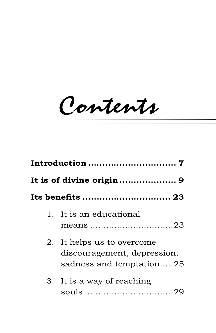Contents

|  | 1. It is an educational                                                               |  |
|--|---------------------------------------------------------------------------------------|--|
|  | 2. It helps us to overcome<br>discouragement, depression,<br>sadness and temptation25 |  |
|  | 3. It is a way of reaching                                                            |  |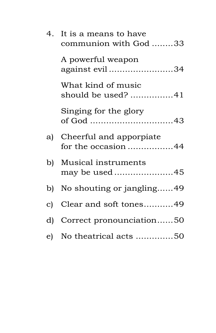| 4. It is a means to have<br>communion with God 33 |
|---------------------------------------------------|
| A powerful weapon<br>against evil 34              |
| What kind of music<br>should be used? 41          |
| Singing for the glory                             |
| a) Cheerful and apporpiate<br>for the occasion 44 |
| b) Musical instruments<br>may be used 45          |
| b) No shouting or jangling49                      |
| c) Clear and soft tones49                         |
| d) Correct pronounciation50                       |
| e) No theatrical acts 50                          |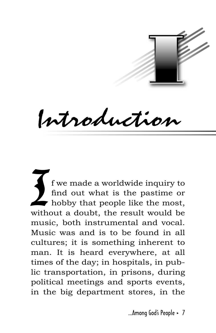

Introduction

If we made a worldwide inquiry to<br>find out what is the pastime or<br>hobby that people like the most,<br>without a doubt, the result would be f we made a worldwide inquiry to find out what is the pastime or hobby that people like the most, music, both instrumental and vocal. Music was and is to be found in all cultures; it is something inherent to man. It is heard everywhere, at all times of the day; in hospitals, in public transportation, in prisons, during political meetings and sports events, in the big department stores, in the

...Among God's People · 7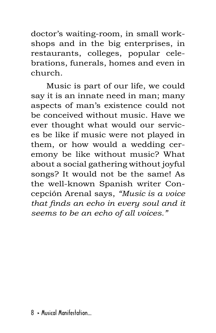doctor's waiting-room, in small workshops and in the big enterprises, in restaurants, colleges, popular celebrations, funerals, homes and even in church.

Music is part of our life, we could say it is an innate need in man; many aspects of man's existence could not be conceived without music. Have we ever thought what would our services be like if music were not played in them, or how would a wedding ceremony be like without music? What about a social gathering without joyful songs? It would not be the same! As the well-known Spanish writer Concepción Arenal says, *"Music is a voice that finds an echo in every soul and it seems to be an echo of all voices."*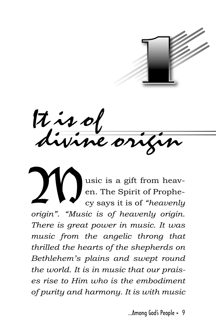

It is of divine origin

Usic is a gift from heav-<br>en. The Spirit of Prophe-<br>cy says it is of "heavenly en. The Spirit of Prophecy says it is of *"heavenly origin"*. *"Music is of heavenly origin. There is great power in music. It was music from the angelic throng that thrilled the hearts of the shepherds on Bethlehem's plains and swept round the world. It is in music that our praises rise to Him who is the embodiment of purity and harmony. It is with music* 

...Among God's People · 9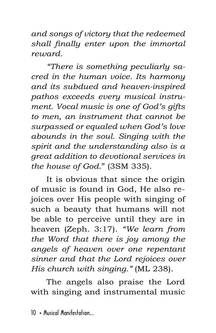*and songs of victory that the redeemed shall finally enter upon the immortal reward.* 

*"There is something peculiarly sacred in the human voice. Its harmony and its subdued and heaven-inspired pathos exceeds every musical instrument. Vocal music is one of God's gifts to men, an instrument that cannot be surpassed or equaled when God's love abounds in the soul. Singing with the spirit and the understanding also is a great addition to devotional services in the house of God*." (3SM 335).

It is obvious that since the origin of music is found in God, He also rejoices over His people with singing of such a beauty that humans will not be able to perceive until they are in heaven (Zeph. 3:17). *"We learn from the Word that there is joy among the angels of heaven over one repentant sinner and that the Lord rejoices over His church with singing."* (ML 238).

The angels also praise the Lord with singing and instrumental music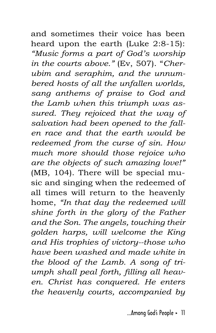and sometimes their voice has been heard upon the earth (Luke 2:8-15): *"Music forms a part of God's worship in the courts above."* (Ev, 507). "*Cherubim and seraphim, and the unnumbered hosts of all the unfallen worlds, sang anthems of praise to God and the Lamb when this triumph was assured. They rejoiced that the way of salvation had been opened to the fallen race and that the earth would be redeemed from the curse of sin. How much more should those rejoice who are the objects of such amazing love!"* (MB, 104). There will be special music and singing when the redeemed of all times will return to the heavenly home, *"In that day the redeemed will shine forth in the glory of the Father and the Son. The angels, touching their golden harps, will welcome the King and His trophies of victory--those who have been washed and made white in the blood of the Lamb. A song of triumph shall peal forth, filling all heaven. Christ has conquered. He enters the heavenly courts, accompanied by*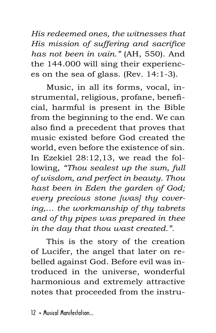*His redeemed ones, the witnesses that His mission of suffering and sacrifice has not been in vain."* (AH, 550). And the 144.000 will sing their experiences on the sea of glass. (Rev. 14:1-3).

Music, in all its forms, vocal, instrumental, religious, profane, beneficial, harmful is present in the Bible from the beginning to the end. We can also find a precedent that proves that music existed before God created the world, even before the existence of sin. In Ezekiel 28:12,13, we read the following, *"Thou sealest up the sum, full of wisdom, and perfect in beauty. Thou hast been in Eden the garden of God; every precious stone [was] thy covering,… the workmanship of thy tabrets and of thy pipes was prepared in thee in the day that thou wast created.".* 

This is the story of the creation of Lucifer, the angel that later on rebelled against God. Before evil was introduced in the universe, wonderful harmonious and extremely attractive notes that proceeded from the instru-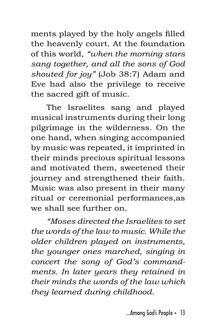ments played by the holy angels filled the heavenly court. At the foundation of this world, *"when the morning stars sang together, and all the sons of God shouted for joy"* (Job 38:7) Adam and Eve had also the privilege to receive the sacred gift of music.

The Israelites sang and played musical instruments during their long pilgrimage in the wilderness. On the one hand, when singing accompanied by music was repeated, it imprinted in their minds precious spiritual lessons and motivated them, sweetened their journey and strengthened their faith. Music was also present in their many ritual or ceremonial performances,as we shall see further on.

*"Moses directed the Israelites to set the words of the law to music. While the older children played on instruments, the younger ones marched, singing in concert the song of God's commandments. In later years they retained in their minds the words of the law which they learned during childhood.*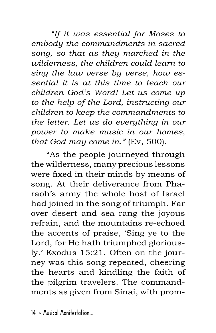*"If it was essential for Moses to embody the commandments in sacred song, so that as they marched in the wilderness, the children could learn to sing the law verse by verse, how essential it is at this time to teach our children God's Word! Let us come up to the help of the Lord, instructing our children to keep the commandments to the letter. Let us do everything in our power to make music in our homes, that God may come in."* (Ev, 500).

"As the people journeyed through the wilderness, many precious lessons were fixed in their minds by means of song. At their deliverance from Pharaoh's army the whole host of Israel had joined in the song of triumph. Far over desert and sea rang the joyous refrain, and the mountains re-echoed the accents of praise, 'Sing ye to the Lord, for He hath triumphed gloriously.' Exodus 15:21. Often on the journey was this song repeated, cheering the hearts and kindling the faith of the pilgrim travelers. The commandments as given from Sinai, with prom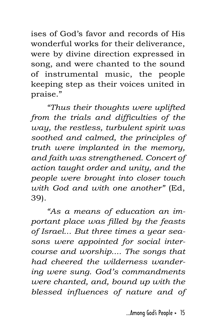ises of God's favor and records of His wonderful works for their deliverance, were by divine direction expressed in song, and were chanted to the sound of instrumental music, the people keeping step as their voices united in praise."

*"Thus their thoughts were uplifted from the trials and difficulties of the way, the restless, turbulent spirit was soothed and calmed, the principles of truth were implanted in the memory, and faith was strengthened. Concert of action taught order and unity, and the people were brought into closer touch with God and with one another"* (Ed, 39).

*"As a means of education an important place was filled by the feasts of Israel... But three times a year seasons were appointed for social intercourse and worship.... The songs that had cheered the wilderness wandering were sung. God's commandments were chanted, and, bound up with the blessed influences of nature and of*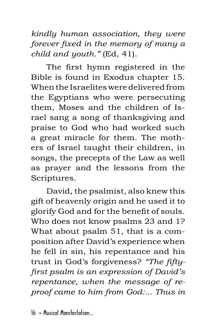*kindly human association, they were forever fixed in the memory of many a child and youth."* (Ed, 41).

The first hymn registered in the Bible is found in Exodus chapter 15. When the Israelites were delivered from the Egyptians who were persecuting them, Moses and the children of Israel sang a song of thanksgiving and praise to God who had worked such a great miracle for them. The mothers of Israel taught their children, in songs, the precepts of the Law as well as prayer and the lessons from the Scriptures.

David, the psalmist, also knew this gift of heavenly origin and he used it to glorify God and for the benefit of souls. Who does not know psalms 23 and 1? What about psalm 51, that is a composition after David's experience when he fell in sin, his repentance and his trust in God's forgiveness? *"The fiftyfirst psalm is an expression of David's repentance, when the message of reproof came to him from God:... Thus in*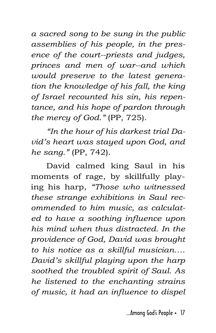*a sacred song to be sung in the public assemblies of his people, in the presence of the court--priests and judges, princes and men of war--and which would preserve to the latest generation the knowledge of his fall, the king of Israel recounted his sin, his repentance, and his hope of pardon through the mercy of God."* (PP, 725).

*"In the hour of his darkest trial David's heart was stayed upon God, and he sang."* (PP, 742).

David calmed king Saul in his moments of rage, by skillfully playing his harp, *"Those who witnessed these strange exhibitions in Saul recommended to him music, as calculated to have a soothing influence upon his mind when thus distracted. In the providence of God, David was brought to his notice as a skillful musician…. David's skillful playing upon the harp soothed the troubled spirit of Saul. As he listened to the enchanting strains of music, it had an influence to dispel* 

...Among God's People · 17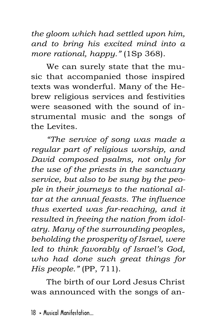*the gloom which had settled upon him, and to bring his excited mind into a more rational, happy."* (1Sp 368).

We can surely state that the music that accompanied those inspired texts was wonderful. Many of the Hebrew religious services and festivities were seasoned with the sound of instrumental music and the songs of the Levites.

*"The service of song was made a regular part of religious worship, and David composed psalms, not only for the use of the priests in the sanctuary service, but also to be sung by the people in their journeys to the national altar at the annual feasts. The influence thus exerted was far-reaching, and it resulted in freeing the nation from idolatry. Many of the surrounding peoples, beholding the prosperity of Israel, were led to think favorably of Israel's God, who had done such great things for His people."* (PP, 711).

The birth of our Lord Jesus Christ was announced with the songs of an-

 $18 \times$  Musical Manifestation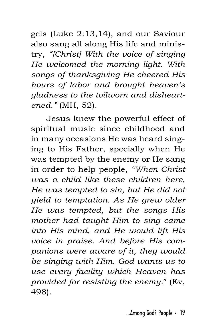gels (Luke 2:13,14), and our Saviour also sang all along His life and ministry, *"[Christ] With the voice of singing He welcomed the morning light. With songs of thanksgiving He cheered His hours of labor and brought heaven's gladness to the toilworn and disheartened."* (MH, 52).

Jesus knew the powerful effect of spiritual music since childhood and in many occasions He was heard singing to His Father, specially when He was tempted by the enemy or He sang in order to help people, *"When Christ was a child like these children here, He was tempted to sin, but He did not yield to temptation. As He grew older He was tempted, but the songs His mother had taught Him to sing came into His mind, and He would lift His voice in praise. And before His companions were aware of it, they would be singing with Him. God wants us to use every facility which Heaven has provided for resisting the enemy.*" (Ev, 498).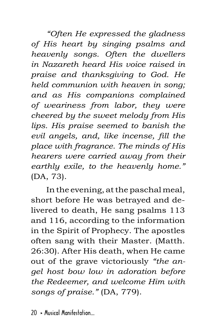*"Often He expressed the gladness of His heart by singing psalms and heavenly songs. Often the dwellers in Nazareth heard His voice raised in praise and thanksgiving to God. He held communion with heaven in song; and as His companions complained of weariness from labor, they were cheered by the sweet melody from His lips. His praise seemed to banish the evil angels, and, like incense, fill the place with fragrance. The minds of His hearers were carried away from their earthly exile, to the heavenly home."*  (DA, 73).

In the evening, at the paschal meal, short before He was betrayed and delivered to death, He sang psalms 113 and 116, according to the information in the Spirit of Prophecy. The apostles often sang with their Master. (Matth. 26:30). After His death, when He came out of the grave victoriously *"the angel host bow low in adoration before the Redeemer, and welcome Him with songs of praise."* (DA, 779).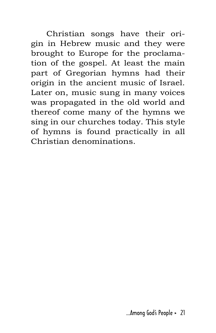Christian songs have their origin in Hebrew music and they were brought to Europe for the proclamation of the gospel. At least the main part of Gregorian hymns had their origin in the ancient music of Israel. Later on, music sung in many voices was propagated in the old world and thereof come many of the hymns we sing in our churches today. This style of hymns is found practically in all Christian denominations.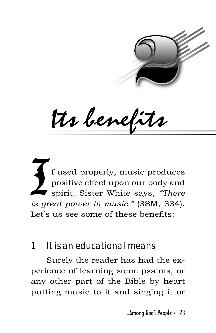

Its benefits

 $\sum_{i \in \mathcal{I}}$ f used properly, music produces positive effect upon our body and spirit. Sister White says, *"There is great power in music."* (3SM, 334). Let's us see some of these benefits:

### **1. It is an educational means**

Surely the reader has had the experience of learning some psalms, or any other part of the Bible by heart putting music to it and singing it or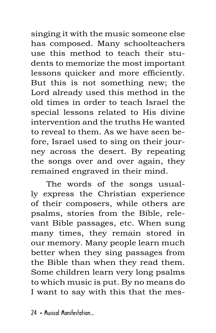singing it with the music someone else has composed. Many schoolteachers use this method to teach their students to memorize the most important lessons quicker and more efficiently. But this is not something new; the Lord already used this method in the old times in order to teach Israel the special lessons related to His divine intervention and the truths He wanted to reveal to them. As we have seen before, Israel used to sing on their journey across the desert. By repeating the songs over and over again, they remained engraved in their mind.

The words of the songs usually express the Christian experience of their composers, while others are psalms, stories from the Bible, relevant Bible passages, etc. When sung many times, they remain stored in our memory. Many people learn much better when they sing passages from the Bible than when they read them. Some children learn very long psalms to which music is put. By no means do I want to say with this that the mes-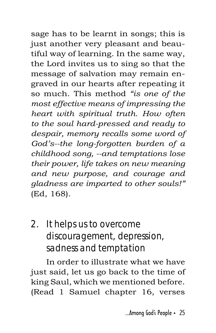sage has to be learnt in songs; this is just another very pleasant and beautiful way of learning. In the same way, the Lord invites us to sing so that the message of salvation may remain engraved in our hearts after repeating it so much. This method *"is one of the most effective means of impressing the heart with spiritual truth. How often to the soul hard-pressed and ready to despair, memory recalls some word of God's--the long-forgotten burden of a childhood song, --and temptations lose their power, life takes on new meaning and new purpose, and courage and gladness are imparted to other souls!"*  (Ed, 168).

## **2. It helps us to overcome discouragement, depression, sadness and temptation**

In order to illustrate what we have just said, let us go back to the time of king Saul, which we mentioned before. (Read 1 Samuel chapter 16, verses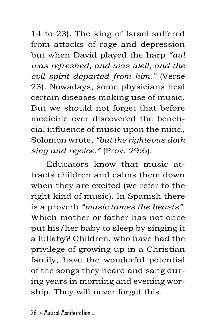14 to 23). The king of Israel suffered from attacks of rage and depression but when David played the harp *"aul was refreshed, and was well, and the evil spirit departed from him."* (Verse 23). Nowadays, some physicians heal certain diseases making use of music. But we should not forget that before medicine ever discovered the beneficial influence of music upon the mind, Solomon wrote, *"but the righteous doth sing and rejoice."* (Prov. 29:6).

Educators know that music attracts children and calms them down when they are excited (we refer to the right kind of music). In Spanish there is a proverb *"music tames the beasts".*  Which mother or father has not once put his/her baby to sleep by singing it a lullaby? Children, who have had the privilege of growing up in a Christian family, have the wonderful potential of the songs they heard and sang during years in morning and evening worship. They will never forget this.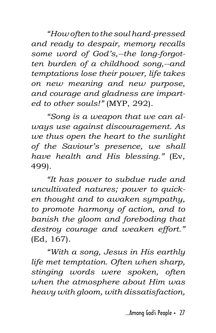*"How often to the soul hard-pressed and ready to despair, memory recalls some word of God's,--the long-forgotten burden of a childhood song,--and temptations lose their power, life takes on new meaning and new purpose, and courage and gladness are imparted to other souls!"* (MYP, 292).

*"Song is a weapon that we can always use against discouragement. As we thus open the heart to the sunlight of the Saviour's presence, we shall have health and His blessing."* (Ev, 499).

*"It has power to subdue rude and uncultivated natures; power to quicken thought and to awaken sympathy, to promote harmony of action, and to banish the gloom and foreboding that destroy courage and weaken effort."* (Ed, 167).

*"With a song, Jesus in His earthly life met temptation. Often when sharp, stinging words were spoken, often when the atmosphere about Him was heavy with gloom, with dissatisfaction,*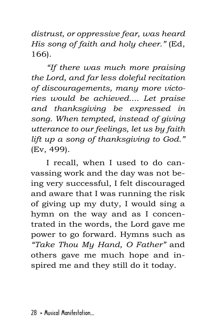*distrust, or oppressive fear, was heard His song of faith and holy cheer."* (Ed, 166).

*"If there was much more praising the Lord, and far less doleful recitation of discouragements, many more victories would be achieved.... Let praise and thanksgiving be expressed in song. When tempted, instead of giving utterance to our feelings, let us by faith lift up a song of thanksgiving to God."*  (Ev, 499).

I recall, when I used to do canvassing work and the day was not being very successful, I felt discouraged and aware that I was running the risk of giving up my duty, I would sing a hymn on the way and as I concentrated in the words, the Lord gave me power to go forward. Hymns such as *"Take Thou My Hand, O Father"* and others gave me much hope and inspired me and they still do it today.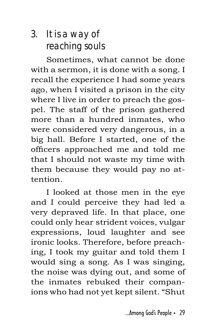## **3. It is a way of reaching souls**

Sometimes, what cannot be done with a sermon, it is done with a song. I recall the experience I had some years ago, when I visited a prison in the city where I live in order to preach the gospel. The staff of the prison gathered more than a hundred inmates, who were considered very dangerous, in a big hall. Before I started, one of the officers approached me and told me that I should not waste my time with them because they would pay no attention.

I looked at those men in the eye and I could perceive they had led a very depraved life. In that place, one could only hear strident voices, vulgar expressions, loud laughter and see ironic looks. Therefore, before preaching, I took my guitar and told them I would sing a song. As I was singing, the noise was dying out, and some of the inmates rebuked their companions who had not yet kept silent. "Shut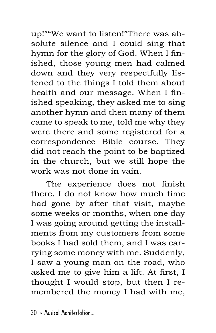up!""We want to listen!"There was absolute silence and I could sing that hymn for the glory of God. When I finished, those young men had calmed down and they very respectfully listened to the things I told them about health and our message. When I finished speaking, they asked me to sing another hymn and then many of them came to speak to me, told me why they were there and some registered for a correspondence Bible course. They did not reach the point to be baptized in the church, but we still hope the work was not done in vain.

The experience does not finish there. I do not know how much time had gone by after that visit, maybe some weeks or months, when one day I was going around getting the installments from my customers from some books I had sold them, and I was carrying some money with me. Suddenly, I saw a young man on the road, who asked me to give him a lift. At first, I thought I would stop, but then I remembered the money I had with me,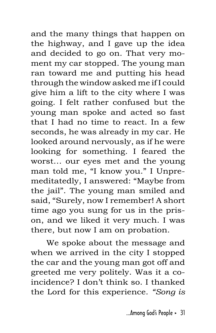and the many things that happen on the highway, and I gave up the idea and decided to go on. That very moment my car stopped. The young man ran toward me and putting his head through the window asked me if I could give him a lift to the city where I was going. I felt rather confused but the young man spoke and acted so fast that I had no time to react. In a few seconds, he was already in my car. He looked around nervously, as if he were looking for something. I feared the worst… our eyes met and the young man told me, "I know you." I Unpremeditatedly, I answered: "Maybe from the jail". The young man smiled and said, "Surely, now I remember! A short time ago you sung for us in the prison, and we liked it very much. I was there, but now I am on probation.

We spoke about the message and when we arrived in the city I stopped the car and the young man got off and greeted me very politely. Was it a coincidence? I don't think so. I thanked the Lord for this experience. *"Song is*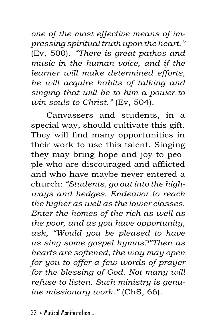*one of the most effective means of impressing spiritual truth upon the heart."* (Ev, 500). *"There is great pathos and music in the human voice, and if the learner will make determined efforts, he will acquire habits of talking and singing that will be to him a power to win souls to Christ."* (Ev, 504).

Canvassers and students, in a special way, should cultivate this gift. They will find many opportunities in their work to use this talent. Singing they may bring hope and joy to people who are discouraged and afflicted and who have maybe never entered a church: *"Students, go out into the highways and hedges. Endeavor to reach the higher as well as the lower classes. Enter the homes of the rich as well as the poor, and as you have opportunity, ask, "Would you be pleased to have us sing some gospel hymns?"Then as hearts are softened, the way may open for you to offer a few words of prayer for the blessing of God. Not many will refuse to listen. Such ministry is genuine missionary work."* (ChS, 66).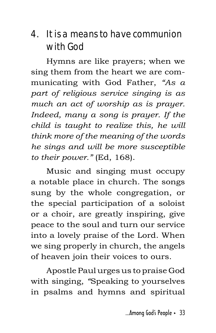## **4. It is a means to have communion with God**

Hymns are like prayers; when we sing them from the heart we are communicating with God Father, *"As a part of religious service singing is as much an act of worship as is prayer. Indeed, many a song is prayer. If the child is taught to realize this, he will think more of the meaning of the words he sings and will be more susceptible to their power."* (Ed, 168).

Music and singing must occupy a notable place in church. The songs sung by the whole congregation, or the special participation of a soloist or a choir, are greatly inspiring, give peace to the soul and turn our service into a lovely praise of the Lord. When we sing properly in church, the angels of heaven join their voices to ours.

Apostle Paul urges us to praise God with singing, *"*Speaking to yourselves in psalms and hymns and spiritual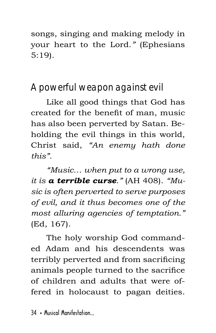songs, singing and making melody in your heart to the Lord.*"* (Ephesians 5:19).

## **A powerful weapon against evil**

Like all good things that God has created for the benefit of man, music has also been perverted by Satan. Beholding the evil things in this world, Christ said, *"An enemy hath done this".*

*"Music… when put to a wrong use, it is a terrible curse."* (AH 408). *"Music is often perverted to serve purposes of evil, and it thus becomes one of the most alluring agencies of temptation."* (Ed, 167).

The holy worship God commanded Adam and his descendents was terribly perverted and from sacrificing animals people turned to the sacrifice of children and adults that were offered in holocaust to pagan deities.

 $34 \times$  Musical Manifestation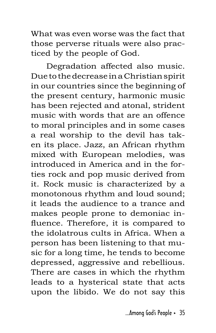What was even worse was the fact that those perverse rituals were also practiced by the people of God.

Degradation affected also music. Due to the decrease in a Christian spirit in our countries since the beginning of the present century, harmonic music has been rejected and atonal, strident music with words that are an offence to moral principles and in some cases a real worship to the devil has taken its place. Jazz, an African rhythm mixed with European melodies, was introduced in America and in the forties rock and pop music derived from it. Rock music is characterized by a monotonous rhythm and loud sound; it leads the audience to a trance and makes people prone to demoniac influence. Therefore, it is compared to the idolatrous cults in Africa. When a person has been listening to that music for a long time, he tends to become depressed, aggressive and rebellious. There are cases in which the rhythm leads to a hysterical state that acts upon the libido. We do not say this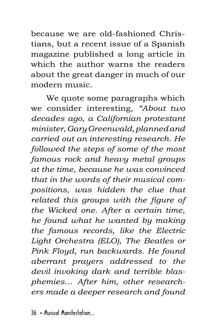because we are old-fashioned Christians, but a recent issue of a Spanish magazine published a long article in which the author warns the readers about the great danger in much of our modern music.

We quote some paragraphs which we consider interesting, *"About two decades ago, a Californian protestant minister, Gary Greenwald, planned and carried out an interesting research. He followed the steps of some of the most famous rock and heavy metal groups at the time, because he was convinced that in the words of their musical compositions, was hidden the clue that related this groups with the figure of the Wicked one. After a certain time, he found what he wanted by making the famous records, like the Electric Light Orchestra (ELO), The Beatles or Pink Floyd, run backwards. He found aberrant prayers addressed to the devil invoking dark and terrible blasphemies… After him, other researchers made a deeper research and found*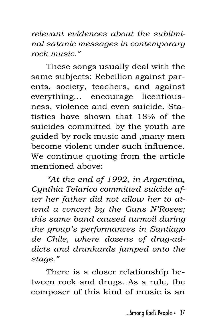*relevant evidences about the subliminal satanic messages in contemporary rock music."*

These songs usually deal with the same subjects: Rebellion against parents, society, teachers, and against everything… encourage licentiousness, violence and even suicide. Statistics have shown that 18% of the suicides committed by the youth are guided by rock music and ,many men become violent under such influence. We continue quoting from the article mentioned above:

*"At the end of 1992, in Argentina, Cynthia Telarico committed suicide after her father did not allow her to attend a concert by the Guns N'Roses; this same band caused turmoil during the group's performances in Santiago de Chile, where dozens of drug-addicts and drunkards jumped onto the stage."*

There is a closer relationship between rock and drugs. As a rule, the composer of this kind of music is an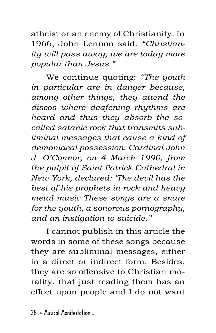atheist or an enemy of Christianity. In 1966, John Lennon said: *"Christianity will pass away; we are today more popular than Jesus."* 

We continue quoting: *"The youth in particular are in danger because, among other things, they attend the discos where deafening rhythms are heard and thus they absorb the socalled satanic rock that transmits subliminal messages that cause a kind of demoniacal possession. Cardinal John J. O'Connor, on 4 March 1990, from the pulpit of Saint Patrick Cathedral in New York, declared: 'The devil has the best of his prophets in rock and heavy metal music These songs are a snare for the youth, a sonorous pornography, and an instigation to suicide."*

I cannot publish in this article the words in some of these songs because they are subliminal messages, either in a direct or indirect form. Besides, they are so offensive to Christian morality, that just reading them has an effect upon people and I do not want

 $38$   $\rightarrow$  Musical Manifestation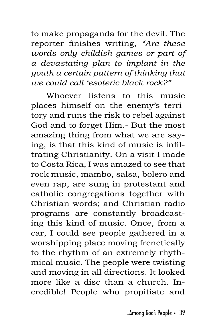to make propaganda for the devil. The reporter finishes writing, *"Are these words only childish games or part of a devastating plan to implant in the youth a certain pattern of thinking that we could call 'esoteric black rock?"*

Whoever listens to this music places himself on the enemy's territory and runs the risk to rebel against God and to forget Him.- But the most amazing thing from what we are saying, is that this kind of music is infiltrating Christianity. On a visit I made to Costa Rica, I was amazed to see that rock music, mambo, salsa, bolero and even rap, are sung in protestant and catholic congregations together with Christian words; and Christian radio programs are constantly broadcasting this kind of music. Once, from a car, I could see people gathered in a worshipping place moving frenetically to the rhythm of an extremely rhythmical music. The people were twisting and moving in all directions. It looked more like a disc than a church. Incredible! People who propitiate and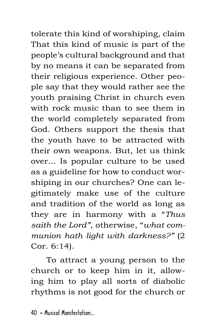tolerate this kind of worshiping, claim That this kind of music is part of the people's cultural background and that by no means it can be separated from their religious experience. Other people say that they would rather see the youth praising Christ in church even with rock music than to see them in the world completely separated from God. Others support the thesis that the youth have to be attracted with their own weapons. But, let us think over... Is popular culture to be used as a guideline for how to conduct worshiping in our churches? One can legitimately make use of the culture and tradition of the world as long as they are in harmony with a "*Thus saith the Lord"*, otherwise, "*what communion hath light with darkness?"* (2 Cor. 6:14).

To attract a young person to the church or to keep him in it, allowing him to play all sorts of diabolic rhythms is not good for the church or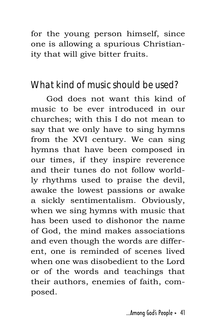for the young person himself, since one is allowing a spurious Christianity that will give bitter fruits.

## **What kind of music should be used?**

God does not want this kind of music to be ever introduced in our churches; with this I do not mean to say that we only have to sing hymns from the XVI century. We can sing hymns that have been composed in our times, if they inspire reverence and their tunes do not follow worldly rhythms used to praise the devil, awake the lowest passions or awake a sickly sentimentalism. Obviously, when we sing hymns with music that has been used to dishonor the name of God, the mind makes associations and even though the words are different, one is reminded of scenes lived when one was disobedient to the Lord or of the words and teachings that their authors, enemies of faith, composed.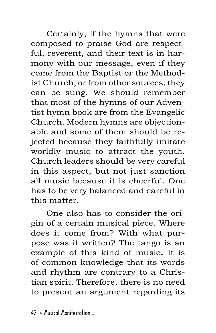Certainly, if the hymns that were composed to praise God are respectful, reverent, and their text is in harmony with our message, even if they come from the Baptist or the Methodist Church, or from other sources, they can be sung. We should remember that most of the hymns of our Adventist hymn book are from the Evangelic Church. Modern hymns are objectionable and some of them should be rejected because they faithfully imitate worldly music to attract the youth. Church leaders should be very careful in this aspect, but not just sanction all music because it is cheerful. One has to be very balanced and careful in this matter.

One also has to consider the origin of a certain musical piece. Where does it come from? With what purpose was it written? The tango is an example of this kind of music**.** It is of common knowledge that its words and rhythm are contrary to a Christian spirit. Therefore, there is no need to present an argument regarding its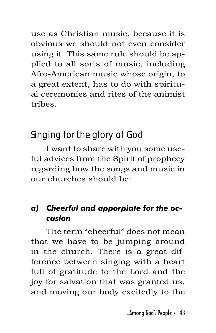use as Christian music, because it is obvious we should not even consider using it. This same rule should be applied to all sorts of music, including Afro-American music whose origin, to a great extent, has to do with spiritual ceremonies and rites of the animist tribes.

## **Singing for the glory of God**

I want to share with you some useful advices from the Spirit of prophecy regarding how the songs and music in our churches should be:

#### *a) Cheerful and apporpiate for the occasion*

The term "cheerful" does not mean that we have to be jumping around in the church. There is a great difference between singing with a heart full of gratitude to the Lord and the joy for salvation that was granted us, and moving our body excitedly to the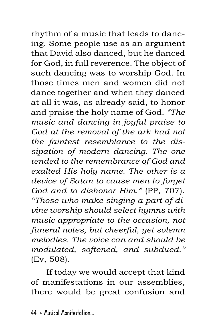rhythm of a music that leads to dancing. Some people use as an argument that David also danced, but he danced for God, in full reverence. The object of such dancing was to worship God. In those times men and women did not dance together and when they danced at all it was, as already said, to honor and praise the holy name of God. *"The music and dancing in joyful praise to God at the removal of the ark had not the faintest resemblance to the dissipation of modern dancing. The one tended to the remembrance of God and exalted His holy name. The other is a device of Satan to cause men to forget God and to dishonor Him."* (PP, 707). *"Those who make singing a part of divine worship should select hymns with music appropriate to the occasion, not funeral notes, but cheerful, yet solemn melodies. The voice can and should be modulated, softened, and subdued."*  (Ev, 508).

If today we would accept that kind of manifestations in our assemblies, there would be great confusion and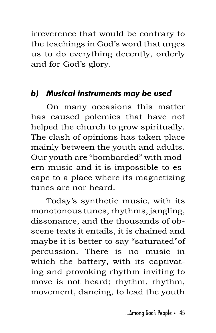irreverence that would be contrary to the teachings in God's word that urges us to do everything decently, orderly and for God's glory.

#### *b) Musical instruments may be used*

On many occasions this matter has caused polemics that have not helped the church to grow spiritually. The clash of opinions has taken place mainly between the youth and adults. Our youth are "bombarded" with modern music and it is impossible to escape to a place where its magnetizing tunes are nor heard.

Today's synthetic music, with its monotonous tunes, rhythms, jangling, dissonance, and the thousands of obscene texts it entails, it is chained and maybe it is better to say "saturated"of percussion. There is no music in which the battery, with its captivating and provoking rhythm inviting to move is not heard; rhythm, rhythm, movement, dancing, to lead the youth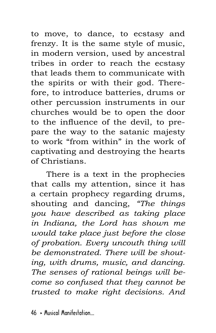to move, to dance, to ecstasy and frenzy. It is the same style of music, in modern version, used by ancestral tribes in order to reach the ecstasy that leads them to communicate with the spirits or with their god. Therefore, to introduce batteries, drums or other percussion instruments in our churches would be to open the door to the influence of the devil, to prepare the way to the satanic majesty to work "from within" in the work of captivating and destroying the hearts of Christians.

There is a text in the prophecies that calls my attention, since it has a certain prophecy regarding drums, shouting and dancing, *"The things you have described as taking place in Indiana, the Lord has shown me would take place just before the close of probation. Every uncouth thing will be demonstrated. There will be shouting, with drums, music, and dancing. The senses of rational beings will become so confused that they cannot be trusted to make right decisions. And*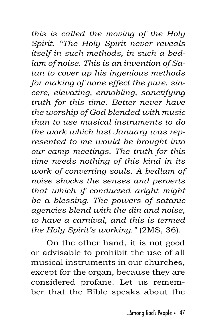*this is called the moving of the Holy Spirit. "The Holy Spirit never reveals itself in such methods, in such a bedlam of noise. This is an invention of Satan to cover up his ingenious methods for making of none effect the pure, sincere, elevating, ennobling, sanctifying truth for this time. Better never have the worship of God blended with music than to use musical instruments to do the work which last January was represented to me would be brought into our camp meetings. The truth for this time needs nothing of this kind in its work of converting souls. A bedlam of noise shocks the senses and perverts that which if conducted aright might be a blessing. The powers of satanic agencies blend with the din and noise, to have a carnival, and this is termed the Holy Spirit's working."* (2MS, 36).

On the other hand, it is not good or advisable to prohibit the use of all musical instruments in our churches, except for the organ, because they are considered profane. Let us remember that the Bible speaks about the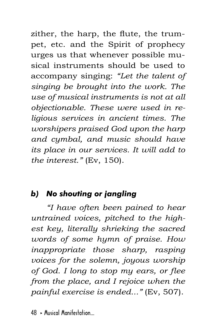zither, the harp, the flute, the trumpet, etc. and the Spirit of prophecy urges us that whenever possible musical instruments should be used to accompany singing: *"Let the talent of singing be brought into the work. The use of musical instruments is not at all objectionable. These were used in religious services in ancient times. The worshipers praised God upon the harp and cymbal, and music should have its place in our services. It will add to the interest."* (Ev, 150).

## *b) No shouting or jangling*

*"I have often been pained to hear untrained voices, pitched to the highest key, literally shrieking the sacred words of some hymn of praise. How inappropriate those sharp, rasping voices for the solemn, joyous worship of God. I long to stop my ears, or flee from the place, and I rejoice when the painful exercise is ended..."* (Ev, 507).

 $48$  > Musical Manifestation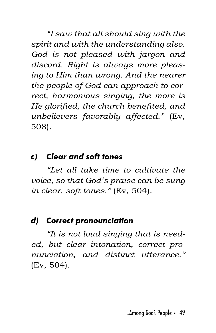*"I saw that all should sing with the spirit and with the understanding also. God is not pleased with jargon and discord. Right is always more pleasing to Him than wrong. And the nearer the people of God can approach to correct, harmonious singing, the more is He glorified, the church benefited, and unbelievers favorably affected."* (Ev, 508).

#### *c) Clear and soft tones*

*"Let all take time to cultivate the voice, so that God's praise can be sung in clear, soft tones."* (Ev, 504).

#### *d) Correct pronounciation*

*"It is not loud singing that is needed, but clear intonation, correct pronunciation, and distinct utterance."*  (Ev, 504).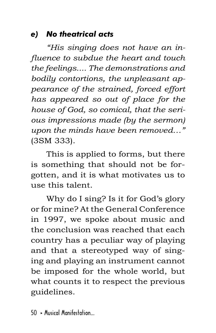#### *e) No theatrical acts*

*"His singing does not have an influence to subdue the heart and touch the feelings.... The demonstrations and bodily contortions, the unpleasant appearance of the strained, forced effort has appeared so out of place for the house of God, so comical, that the serious impressions made (by the sermon) upon the minds have been removed…"*  (3SM 333).

This is applied to forms, but there is something that should not be forgotten, and it is what motivates us to use this talent.

Why do I sing? Is it for God's glory or for mine? At the General Conference in 1997, we spoke about music and the conclusion was reached that each country has a peculiar way of playing and that a stereotyped way of singing and playing an instrument cannot be imposed for the whole world, but what counts it to respect the previous guidelines.

50 · Musical Manifestation...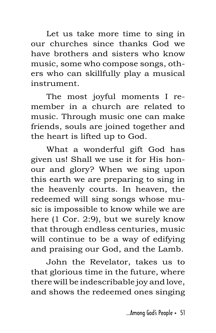Let us take more time to sing in our churches since thanks God we have brothers and sisters who know music, some who compose songs, others who can skillfully play a musical instrument.

The most joyful moments I remember in a church are related to music. Through music one can make friends, souls are joined together and the heart is lifted up to God.

What a wonderful gift God has given us! Shall we use it for His honour and glory? When we sing upon this earth we are preparing to sing in the heavenly courts. In heaven, the redeemed will sing songs whose music is impossible to know while we are here (1 Cor. 2:9), but we surely know that through endless centuries, music will continue to be a way of edifying and praising our God, and the Lamb.

John the Revelator, takes us to that glorious time in the future, where there will be indescribable joy and love, and shows the redeemed ones singing